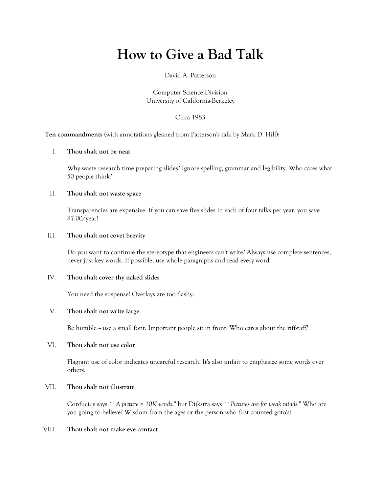# **How to Give a Bad Talk**

#### David A. Patterson

Computer Science Division University of California-Berkeley

Circa 1983

**Ten commandments** (with annotations gleaned from Patterson's talk by Mark D. Hill):

## I. **Thou shalt not be neat**

Why waste research time preparing slides? Ignore spelling, grammar and legibility. Who cares what 50 people think?

### II. **Thou shalt not waste space**

Transparencies are expensive. If you can save five slides in each of four talks per year, you save \$7.00/year!

### III. **Thou shalt not covet brevity**

Do you want to continue the stereotype that engineers can't write? Always use complete sentences, never just key words. If possible, use whole paragraphs and read every word.

#### IV. **Thou shalt cover thy naked slides**

You need the suspense! Overlays are too flashy.

## V. **Thou shalt not write large**

Be humble -- use a small font. Important people sit in front. Who cares about the riff-raff?

#### VI. **Thou shalt not use color**

Flagrant use of color indicates uncareful research. It's also unfair to emphasize some words over others.

#### VII. **Thou shalt not illustrate**

Confucius says ``*A picture = 10K words*,'' but Dijkstra says ``*Pictures are for weak minds.*'' Who are you going to believe? Wisdom from the ages or the person who first counted goto's?

#### VIII. **Thou shalt not make eye contact**